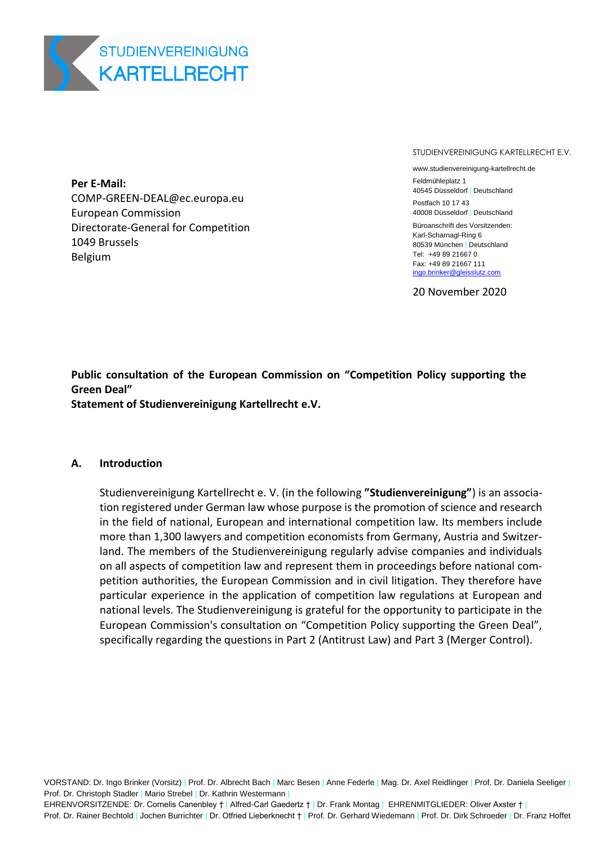

**Per E-Mail:**  COMP-GREEN-DEAL@ec.europa.eu European Commission Directorate-General for Competition 1049 Brussels Belgium

STUDIENVEREINIGUNG KARTELLRECHT E.V.

www.studienvereinigung-kartellrecht.de

Feldmühleplatz 1 40545 Düsseldorf | Deutschland Postfach 10 17 43

40008 Düsseldorf | Deutschland Büroanschrift des Vorsitzenden: Karl-Scharnagl-Ring 6 80539 München | Deutschland Tel: +49 89 21667 0 Fax: +49 89 21667 111 [ingo.brinker@gleisslutz.com](mailto:ingo.brinker@gleisslutz.com)

20 November 2020

**Public consultation of the European Commission on "Competition Policy supporting the Green Deal" Statement of Studienvereinigung Kartellrecht e.V.**

#### **A. Introduction**

Studienvereinigung Kartellrecht e. V. (in the following **"Studienvereinigung"**) is an association registered under German law whose purpose is the promotion of science and research in the field of national, European and international competition law. Its members include more than 1,300 lawyers and competition economists from Germany, Austria and Switzerland. The members of the Studienvereinigung regularly advise companies and individuals on all aspects of competition law and represent them in proceedings before national competition authorities, the European Commission and in civil litigation. They therefore have particular experience in the application of competition law regulations at European and national levels. The Studienvereinigung is grateful for the opportunity to participate in the European Commission's consultation on "Competition Policy supporting the Green Deal", specifically regarding the questions in Part 2 (Antitrust Law) and Part 3 (Merger Control).

VORSTAND: Dr. Ingo Brinker (Vorsitz) | Prof. Dr. Albrecht Bach | Marc Besen | Anne Federle | Mag. Dr. Axel Reidlinger | Prof. Dr. Daniela Seeliger | Prof. Dr. Christoph Stadler | Mario Strebel | Dr. Kathrin Westermann |

EHRENVORSITZENDE: Dr. Cornelis Canenbley † | Alfred-Carl Gaedertz † | Dr. Frank Montag | EHRENMITGLIEDER: Oliver Axster † |

Prof. Dr. Rainer Bechtold | Jochen Burrichter | Dr. Otfried Lieberknecht † | Prof. Dr. Gerhard Wiedemann | Prof. Dr. Dirk Schroeder | Dr. Franz Hoffet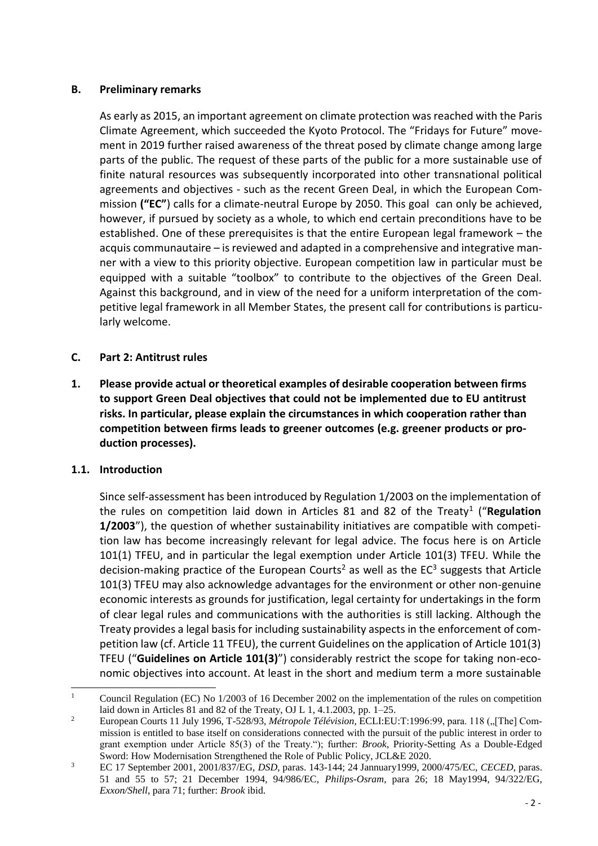# **B. Preliminary remarks**

As early as 2015, an important agreement on climate protection was reached with the Paris Climate Agreement, which succeeded the Kyoto Protocol. The "Fridays for Future" movement in 2019 further raised awareness of the threat posed by climate change among large parts of the public. The request of these parts of the public for a more sustainable use of finite natural resources was subsequently incorporated into other transnational political agreements and objectives - such as the recent Green Deal, in which the European Commission **("EC"**) calls for a climate-neutral Europe by 2050. This goal can only be achieved, however, if pursued by society as a whole, to which end certain preconditions have to be established. One of these prerequisites is that the entire European legal framework – the acquis communautaire – is reviewed and adapted in a comprehensive and integrative manner with a view to this priority objective. European competition law in particular must be equipped with a suitable "toolbox" to contribute to the objectives of the Green Deal. Against this background, and in view of the need for a uniform interpretation of the competitive legal framework in all Member States, the present call for contributions is particularly welcome.

# **C. Part 2: Antitrust rules**

**1. Please provide actual or theoretical examples of desirable cooperation between firms to support Green Deal objectives that could not be implemented due to EU antitrust risks. In particular, please explain the circumstances in which cooperation rather than competition between firms leads to greener outcomes (e.g. greener products or production processes).**

## **1.1. Introduction**

Since self-assessment has been introduced by Regulation 1/2003 on the implementation of the rules on competition laid down in Articles 81 and 82 of the Treaty<sup>1</sup> ("Regulation **1/2003**"), the question of whether sustainability initiatives are compatible with competition law has become increasingly relevant for legal advice. The focus here is on Article 101(1) TFEU, and in particular the legal exemption under Article 101(3) TFEU. While the decision-making practice of the European Courts<sup>2</sup> as well as the EC<sup>3</sup> suggests that Article 101(3) TFEU may also acknowledge advantages for the environment or other non-genuine economic interests as grounds for justification, legal certainty for undertakings in the form of clear legal rules and communications with the authorities is still lacking. Although the Treaty provides a legal basis for including sustainability aspects in the enforcement of competition law (cf. Article 11 TFEU), the current Guidelines on the application of Article 101(3) TFEU ("**Guidelines on Article 101(3)**") considerably restrict the scope for taking non-economic objectives into account. At least in the short and medium term a more sustainable

 $\mathbf{1}$ <sup>1</sup> Council Regulation (EC) No 1/2003 of 16 December 2002 on the implementation of the rules on competition laid down in Articles 81 and 82 of the Treaty, OJ L 1, 4.1.2003, pp.  $1-25$ .

<sup>&</sup>lt;sup>2</sup> European Courts 11 July 1996, T-528/93, *Métropole Télévision*, ECLI:EU:T:1996:99, para. 118 ("[The] Commission is entitled to base itself on considerations connected with the pursuit of the public interest in order to grant exemption under Article 85(3) of the Treaty."); further: *Brook*, Priority-Setting As a Double-Edged Sword: How Modernisation Strengthened the Role of Public Policy, JCL&E 2020.

<sup>3</sup> EC 17 September 2001, 2001/837/EG, *DSD*, paras. 143-144; 24 Jannuary1999, 2000/475/EC, *CECED*, paras. 51 and 55 to 57; 21 December 1994, 94/986/EC, *Philips-Osram*, para 26; 18 May1994, 94/322/EG, *Exxon/Shell*, para 71; further: *Brook* ibid.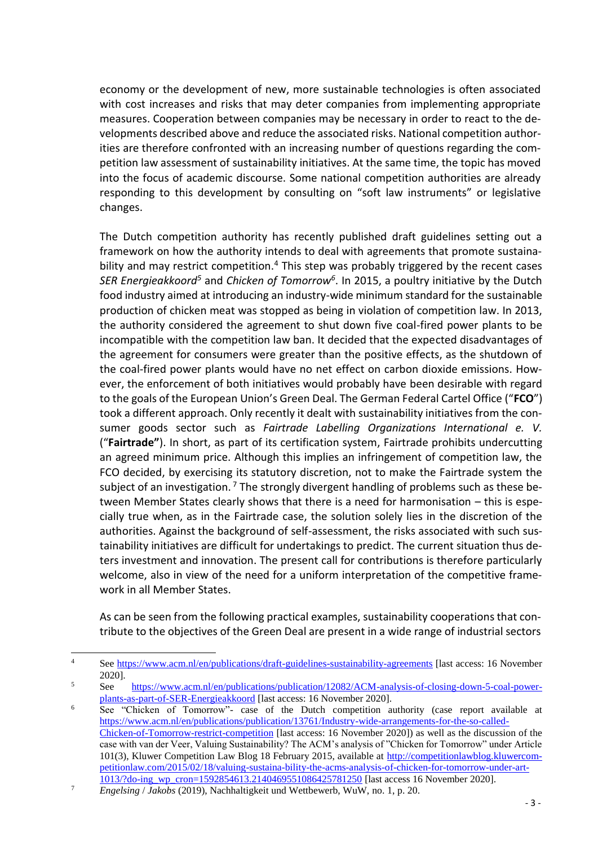economy or the development of new, more sustainable technologies is often associated with cost increases and risks that may deter companies from implementing appropriate measures. Cooperation between companies may be necessary in order to react to the developments described above and reduce the associated risks. National competition authorities are therefore confronted with an increasing number of questions regarding the competition law assessment of sustainability initiatives. At the same time, the topic has moved into the focus of academic discourse. Some national competition authorities are already responding to this development by consulting on "soft law instruments" or legislative changes.

The Dutch competition authority has recently published draft guidelines setting out a framework on how the authority intends to deal with agreements that promote sustainability and may restrict competition.<sup>4</sup> This step was probably triggered by the recent cases *SER Energieakkoord<sup>5</sup>* and *Chicken of Tomorrow<sup>6</sup>* . In 2015, a poultry initiative by the Dutch food industry aimed at introducing an industry-wide minimum standard for the sustainable production of chicken meat was stopped as being in violation of competition law. In 2013, the authority considered the agreement to shut down five coal-fired power plants to be incompatible with the competition law ban. It decided that the expected disadvantages of the agreement for consumers were greater than the positive effects, as the shutdown of the coal-fired power plants would have no net effect on carbon dioxide emissions. However, the enforcement of both initiatives would probably have been desirable with regard to the goals of the European Union's Green Deal. The German Federal Cartel Office ("**FCO**") took a different approach. Only recently it dealt with sustainability initiatives from the consumer goods sector such as *Fairtrade Labelling Organizations International e. V.*  ("**Fairtrade"**). In short, as part of its certification system, Fairtrade prohibits undercutting an agreed minimum price. Although this implies an infringement of competition law, the FCO decided, by exercising its statutory discretion, not to make the Fairtrade system the subject of an investigation.<sup>7</sup> The strongly divergent handling of problems such as these between Member States clearly shows that there is a need for harmonisation – this is especially true when, as in the Fairtrade case, the solution solely lies in the discretion of the authorities. Against the background of self-assessment, the risks associated with such sustainability initiatives are difficult for undertakings to predict. The current situation thus deters investment and innovation. The present call for contributions is therefore particularly welcome, also in view of the need for a uniform interpretation of the competitive framework in all Member States.

As can be seen from the following practical examples, sustainability cooperations that contribute to the objectives of the Green Deal are present in a wide range of industrial sectors

 $\overline{a}$ 

<sup>4</sup> See<https://www.acm.nl/en/publications/draft-guidelines-sustainability-agreements> [last access: 16 November 2020].

<sup>5</sup> See [https://www.acm.nl/en/publications/publication/12082/ACM-analysis-of-closing-down-5-coal-power](https://www.acm.nl/en/publications/publication/12082/ACM-analysis-of-closing-down-5-coal-power-plants-as-part-of-SER-Energieakkoord)[plants-as-part-of-SER-Energieakkoord](https://www.acm.nl/en/publications/publication/12082/ACM-analysis-of-closing-down-5-coal-power-plants-as-part-of-SER-Energieakkoord) [last access: 16 November 2020].

<sup>&</sup>lt;sup>6</sup> See "Chicken of Tomorrow"- case of the Dutch competition authority (case report available at [https://www.acm.nl/en/publications/publication/13761/Industry-wide-arrangements-for-the-so-called-](https://www.acm.nl/en/publications/publication/13761/Industry-wide-arrangements-for-the-so-called-Chicken-of-Tomorrow-restrict-competition)[Chicken-of-Tomorrow-restrict-competition](https://www.acm.nl/en/publications/publication/13761/Industry-wide-arrangements-for-the-so-called-Chicken-of-Tomorrow-restrict-competition) [last access: 16 November 2020]) as well as the discussion of the case with van der Veer, Valuing Sustainability? The ACM's analysis of "Chicken for Tomorrow" under Article 101(3), Kluwer Competition Law Blog 18 February 2015, available at [http://competitionlawblog.kluwercom](http://competitionlawblog.kluwercompetitionlaw.com/2015/02/18/valuing-sustaina-bility-the-acms-analysis-of-chicken-for-tomorrow-under-art-1013/?do-ing_wp_cron=1592854613.2140469551086425781250)[petitionlaw.com/2015/02/18/valuing-sustaina-bility-the-acms-analysis-of-chicken-for-tomorrow-under-art-](http://competitionlawblog.kluwercompetitionlaw.com/2015/02/18/valuing-sustaina-bility-the-acms-analysis-of-chicken-for-tomorrow-under-art-1013/?do-ing_wp_cron=1592854613.2140469551086425781250)[1013/?do-ing\\_wp\\_cron=1592854613.2140469551086425781250](http://competitionlawblog.kluwercompetitionlaw.com/2015/02/18/valuing-sustaina-bility-the-acms-analysis-of-chicken-for-tomorrow-under-art-1013/?do-ing_wp_cron=1592854613.2140469551086425781250) [last access 16 November 2020].

<sup>7</sup> *Engelsing* / *Jakobs* (2019), Nachhaltigkeit und Wettbewerb, WuW, no. 1, p. 20.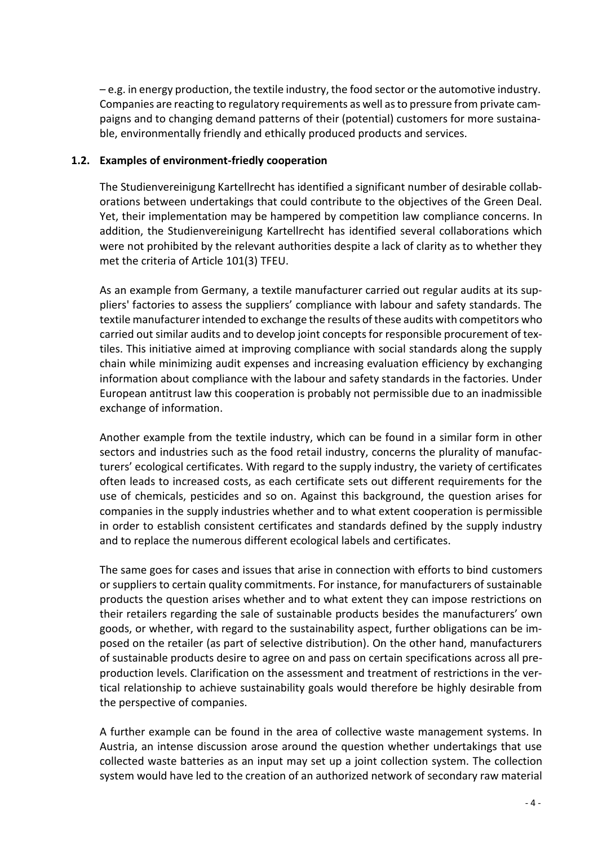– e.g. in energy production, the textile industry, the food sector or the automotive industry. Companies are reacting to regulatory requirements as well as to pressure from private campaigns and to changing demand patterns of their (potential) customers for more sustainable, environmentally friendly and ethically produced products and services.

#### **1.2. Examples of environment-friedly cooperation**

The Studienvereinigung Kartellrecht has identified a significant number of desirable collaborations between undertakings that could contribute to the objectives of the Green Deal. Yet, their implementation may be hampered by competition law compliance concerns. In addition, the Studienvereinigung Kartellrecht has identified several collaborations which were not prohibited by the relevant authorities despite a lack of clarity as to whether they met the criteria of Article 101(3) TFEU.

As an example from Germany, a textile manufacturer carried out regular audits at its suppliers' factories to assess the suppliers' compliance with labour and safety standards. The textile manufacturer intended to exchange the results of these audits with competitors who carried out similar audits and to develop joint concepts for responsible procurement of textiles. This initiative aimed at improving compliance with social standards along the supply chain while minimizing audit expenses and increasing evaluation efficiency by exchanging information about compliance with the labour and safety standards in the factories. Under European antitrust law this cooperation is probably not permissible due to an inadmissible exchange of information.

Another example from the textile industry, which can be found in a similar form in other sectors and industries such as the food retail industry, concerns the plurality of manufacturers' ecological certificates. With regard to the supply industry, the variety of certificates often leads to increased costs, as each certificate sets out different requirements for the use of chemicals, pesticides and so on. Against this background, the question arises for companies in the supply industries whether and to what extent cooperation is permissible in order to establish consistent certificates and standards defined by the supply industry and to replace the numerous different ecological labels and certificates.

The same goes for cases and issues that arise in connection with efforts to bind customers or suppliers to certain quality commitments. For instance, for manufacturers of sustainable products the question arises whether and to what extent they can impose restrictions on their retailers regarding the sale of sustainable products besides the manufacturers' own goods, or whether, with regard to the sustainability aspect, further obligations can be imposed on the retailer (as part of selective distribution). On the other hand, manufacturers of sustainable products desire to agree on and pass on certain specifications across all preproduction levels. Clarification on the assessment and treatment of restrictions in the vertical relationship to achieve sustainability goals would therefore be highly desirable from the perspective of companies.

A further example can be found in the area of collective waste management systems. In Austria, an intense discussion arose around the question whether undertakings that use collected waste batteries as an input may set up a joint collection system. The collection system would have led to the creation of an authorized network of secondary raw material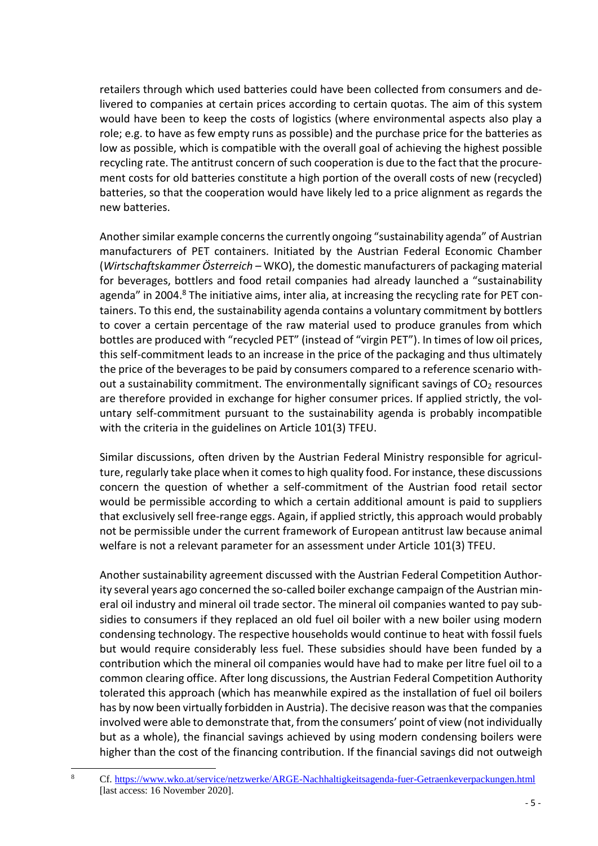retailers through which used batteries could have been collected from consumers and delivered to companies at certain prices according to certain quotas. The aim of this system would have been to keep the costs of logistics (where environmental aspects also play a role; e.g. to have as few empty runs as possible) and the purchase price for the batteries as low as possible, which is compatible with the overall goal of achieving the highest possible recycling rate. The antitrust concern of such cooperation is due to the fact that the procurement costs for old batteries constitute a high portion of the overall costs of new (recycled) batteries, so that the cooperation would have likely led to a price alignment as regards the new batteries.

Another similar example concerns the currently ongoing "sustainability agenda" of Austrian manufacturers of PET containers. Initiated by the Austrian Federal Economic Chamber (*Wirtschaftskammer Österreich –* WKO), the domestic manufacturers of packaging material for beverages, bottlers and food retail companies had already launched a "sustainability agenda" in 2004.<sup>8</sup> The initiative aims, inter alia, at increasing the recycling rate for PET containers. To this end, the sustainability agenda contains a voluntary commitment by bottlers to cover a certain percentage of the raw material used to produce granules from which bottles are produced with "recycled PET" (instead of "virgin PET"). In times of low oil prices, this self-commitment leads to an increase in the price of the packaging and thus ultimately the price of the beverages to be paid by consumers compared to a reference scenario without a sustainability commitment. The environmentally significant savings of  $CO<sub>2</sub>$  resources are therefore provided in exchange for higher consumer prices. If applied strictly, the voluntary self-commitment pursuant to the sustainability agenda is probably incompatible with the criteria in the guidelines on Article 101(3) TFEU.

Similar discussions, often driven by the Austrian Federal Ministry responsible for agriculture, regularly take place when it comes to high quality food. For instance, these discussions concern the question of whether a self-commitment of the Austrian food retail sector would be permissible according to which a certain additional amount is paid to suppliers that exclusively sell free-range eggs. Again, if applied strictly, this approach would probably not be permissible under the current framework of European antitrust law because animal welfare is not a relevant parameter for an assessment under Article 101(3) TFEU.

Another sustainability agreement discussed with the Austrian Federal Competition Authority several years ago concerned the so-called boiler exchange campaign of the Austrian mineral oil industry and mineral oil trade sector. The mineral oil companies wanted to pay subsidies to consumers if they replaced an old fuel oil boiler with a new boiler using modern condensing technology. The respective households would continue to heat with fossil fuels but would require considerably less fuel. These subsidies should have been funded by a contribution which the mineral oil companies would have had to make per litre fuel oil to a common clearing office. After long discussions, the Austrian Federal Competition Authority tolerated this approach (which has meanwhile expired as the installation of fuel oil boilers has by now been virtually forbidden in Austria). The decisive reason was that the companies involved were able to demonstrate that, from the consumers' point of view (not individually but as a whole), the financial savings achieved by using modern condensing boilers were higher than the cost of the financing contribution. If the financial savings did not outweigh

 $\overline{8}$ 

<sup>8</sup> Cf.<https://www.wko.at/service/netzwerke/ARGE-Nachhaltigkeitsagenda-fuer-Getraenkeverpackungen.html> [last access: 16 November 2020].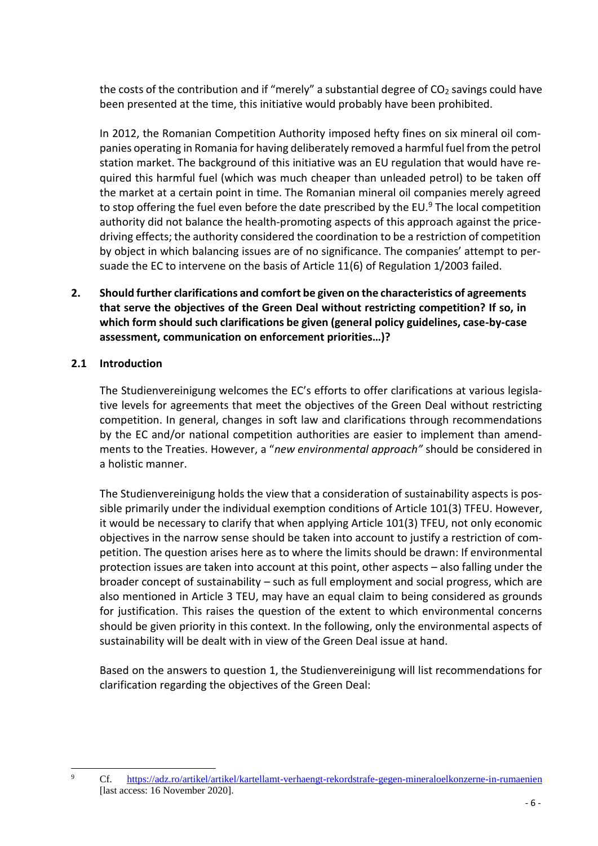the costs of the contribution and if "merely" a substantial degree of  $CO<sub>2</sub>$  savings could have been presented at the time, this initiative would probably have been prohibited.

In 2012, the Romanian Competition Authority imposed hefty fines on six mineral oil companies operating in Romania for having deliberately removed a harmful fuel from the petrol station market. The background of this initiative was an EU regulation that would have required this harmful fuel (which was much cheaper than unleaded petrol) to be taken off the market at a certain point in time. The Romanian mineral oil companies merely agreed to stop offering the fuel even before the date prescribed by the EU. $9$  The local competition authority did not balance the health-promoting aspects of this approach against the pricedriving effects; the authority considered the coordination to be a restriction of competition by object in which balancing issues are of no significance. The companies' attempt to persuade the EC to intervene on the basis of Article 11(6) of Regulation 1/2003 failed.

**2. Should further clarifications and comfort be given on the characteristics of agreements that serve the objectives of the Green Deal without restricting competition? If so, in which form should such clarifications be given (general policy guidelines, case-by-case assessment, communication on enforcement priorities…)?**

## **2.1 Introduction**

The Studienvereinigung welcomes the EC's efforts to offer clarifications at various legislative levels for agreements that meet the objectives of the Green Deal without restricting competition. In general, changes in soft law and clarifications through recommendations by the EC and/or national competition authorities are easier to implement than amendments to the Treaties. However, a "*new environmental approach"* should be considered in a holistic manner.

The Studienvereinigung holds the view that a consideration of sustainability aspects is possible primarily under the individual exemption conditions of Article 101(3) TFEU. However, it would be necessary to clarify that when applying Article 101(3) TFEU, not only economic objectives in the narrow sense should be taken into account to justify a restriction of competition. The question arises here as to where the limits should be drawn: If environmental protection issues are taken into account at this point, other aspects – also falling under the broader concept of sustainability – such as full employment and social progress, which are also mentioned in Article 3 TEU, may have an equal claim to being considered as grounds for justification. This raises the question of the extent to which environmental concerns should be given priority in this context. In the following, only the environmental aspects of sustainability will be dealt with in view of the Green Deal issue at hand.

Based on the answers to question 1, the Studienvereinigung will list recommendations for clarification regarding the objectives of the Green Deal:

 $\overline{9}$ 

<sup>9</sup> Cf. <https://adz.ro/artikel/artikel/kartellamt-verhaengt-rekordstrafe-gegen-mineraloelkonzerne-in-rumaenien> [last access: 16 November 2020].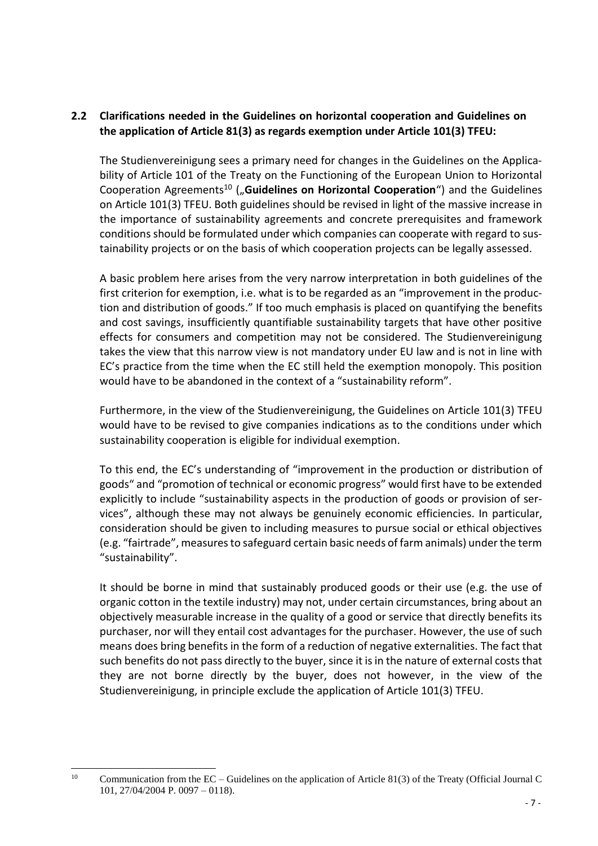# **2.2 Clarifications needed in the Guidelines on horizontal cooperation and Guidelines on the application of Article 81(3) as regards exemption under Article 101(3) TFEU:**

The Studienvereinigung sees a primary need for changes in the Guidelines on the Applicability of Article 101 of the Treaty on the Functioning of the European Union to Horizontal Cooperation Agreements<sup>10</sup> ("Guidelines on Horizontal Cooperation") and the Guidelines on Article 101(3) TFEU. Both guidelines should be revised in light of the massive increase in the importance of sustainability agreements and concrete prerequisites and framework conditions should be formulated under which companies can cooperate with regard to sustainability projects or on the basis of which cooperation projects can be legally assessed.

A basic problem here arises from the very narrow interpretation in both guidelines of the first criterion for exemption, i.e. what is to be regarded as an "improvement in the production and distribution of goods." If too much emphasis is placed on quantifying the benefits and cost savings, insufficiently quantifiable sustainability targets that have other positive effects for consumers and competition may not be considered. The Studienvereinigung takes the view that this narrow view is not mandatory under EU law and is not in line with EC's practice from the time when the EC still held the exemption monopoly. This position would have to be abandoned in the context of a "sustainability reform".

Furthermore, in the view of the Studienvereinigung, the Guidelines on Article 101(3) TFEU would have to be revised to give companies indications as to the conditions under which sustainability cooperation is eligible for individual exemption.

To this end, the EC's understanding of "improvement in the production or distribution of goods" and "promotion of technical or economic progress" would first have to be extended explicitly to include "sustainability aspects in the production of goods or provision of services", although these may not always be genuinely economic efficiencies. In particular, consideration should be given to including measures to pursue social or ethical objectives (e.g. "fairtrade", measures to safeguard certain basic needs of farm animals) under the term "sustainability".

It should be borne in mind that sustainably produced goods or their use (e.g. the use of organic cotton in the textile industry) may not, under certain circumstances, bring about an objectively measurable increase in the quality of a good or service that directly benefits its purchaser, nor will they entail cost advantages for the purchaser. However, the use of such means does bring benefits in the form of a reduction of negative externalities. The fact that such benefits do not pass directly to the buyer, since it is in the nature of external costs that they are not borne directly by the buyer, does not however, in the view of the Studienvereinigung, in principle exclude the application of Article 101(3) TFEU.

 $10$ <sup>10</sup> Communication from the EC – Guidelines on the application of Article 81(3) of the Treaty (Official Journal C 101, 27/04/2004 P. 0097 – 0118).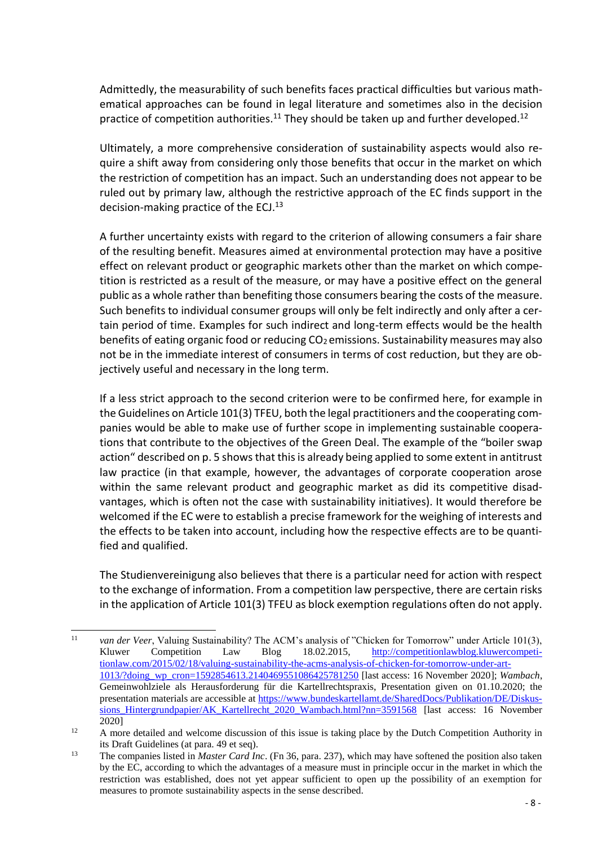Admittedly, the measurability of such benefits faces practical difficulties but various mathematical approaches can be found in legal literature and sometimes also in the decision practice of competition authorities.<sup>11</sup> They should be taken up and further developed.<sup>12</sup>

Ultimately, a more comprehensive consideration of sustainability aspects would also require a shift away from considering only those benefits that occur in the market on which the restriction of competition has an impact. Such an understanding does not appear to be ruled out by primary law, although the restrictive approach of the EC finds support in the decision-making practice of the  $ECJ<sub>13</sub>$ 

A further uncertainty exists with regard to the criterion of allowing consumers a fair share of the resulting benefit. Measures aimed at environmental protection may have a positive effect on relevant product or geographic markets other than the market on which competition is restricted as a result of the measure, or may have a positive effect on the general public as a whole rather than benefiting those consumers bearing the costs of the measure. Such benefits to individual consumer groups will only be felt indirectly and only after a certain period of time. Examples for such indirect and long-term effects would be the health benefits of eating organic food or reducing  $CO<sub>2</sub>$  emissions. Sustainability measures may also not be in the immediate interest of consumers in terms of cost reduction, but they are objectively useful and necessary in the long term.

If a less strict approach to the second criterion were to be confirmed here, for example in the Guidelines on Article 101(3) TFEU, both the legal practitioners and the cooperating companies would be able to make use of further scope in implementing sustainable cooperations that contribute to the objectives of the Green Deal. The example of the "boiler swap action" described on p. 5 shows that this is already being applied to some extent in antitrust law practice (in that example, however, the advantages of corporate cooperation arose within the same relevant product and geographic market as did its competitive disadvantages, which is often not the case with sustainability initiatives). It would therefore be welcomed if the EC were to establish a precise framework for the weighing of interests and the effects to be taken into account, including how the respective effects are to be quantified and qualified.

The Studienvereinigung also believes that there is a particular need for action with respect to the exchange of information. From a competition law perspective, there are certain risks in the application of Article 101(3) TFEU as block exemption regulations often do not apply.

 $11$ van der Veer, Valuing Sustainability? The ACM's analysis of "Chicken for Tomorrow" under Article 101(3), Kluwer Competition Law Blog 18.02.2015, [http://competitionlawblog.kluwercompeti](http://competitionlawblog.kluwercompetitionlaw.com/2015/02/18/valuing-sustainability-the-acms-analysis-of-chicken-for-tomorrow-under-art-1013/?doing_wp_cron=1592854613.2140469551086425781250)[tionlaw.com/2015/02/18/valuing-sustainability-the-acms-analysis-of-chicken-for-tomorrow-under-art-](http://competitionlawblog.kluwercompetitionlaw.com/2015/02/18/valuing-sustainability-the-acms-analysis-of-chicken-for-tomorrow-under-art-1013/?doing_wp_cron=1592854613.2140469551086425781250)[1013/?doing\\_wp\\_cron=1592854613.2140469551086425781250](http://competitionlawblog.kluwercompetitionlaw.com/2015/02/18/valuing-sustainability-the-acms-analysis-of-chicken-for-tomorrow-under-art-1013/?doing_wp_cron=1592854613.2140469551086425781250) [last access: 16 November 2020]; *Wambach*, Gemeinwohlziele als Herausforderung für die Kartellrechtspraxis, Presentation given on 01.10.2020; the presentation materials are accessible at [https://www.bundeskartellamt.de/SharedDocs/Publikation/DE/Diskus](https://www.bundeskartellamt.de/SharedDocs/Publikation/DE/Diskussions_Hintergrundpapier/AK_Kartellrecht_2020_Wambach.html?nn=3591568)sions Hintergrundpapier/AK\_Kartellrecht\_2020\_Wambach.html?nn=3591568 [last access: 16 November 2020]

<sup>&</sup>lt;sup>12</sup> A more detailed and welcome discussion of this issue is taking place by the Dutch Competition Authority in its Draft Guidelines (at para. 49 et seq).

<sup>13</sup> The companies listed in *Master Card Inc*. (Fn 36, para. 237), which may have softened the position also taken by the EC, according to which the advantages of a measure must in principle occur in the market in which the restriction was established, does not yet appear sufficient to open up the possibility of an exemption for measures to promote sustainability aspects in the sense described.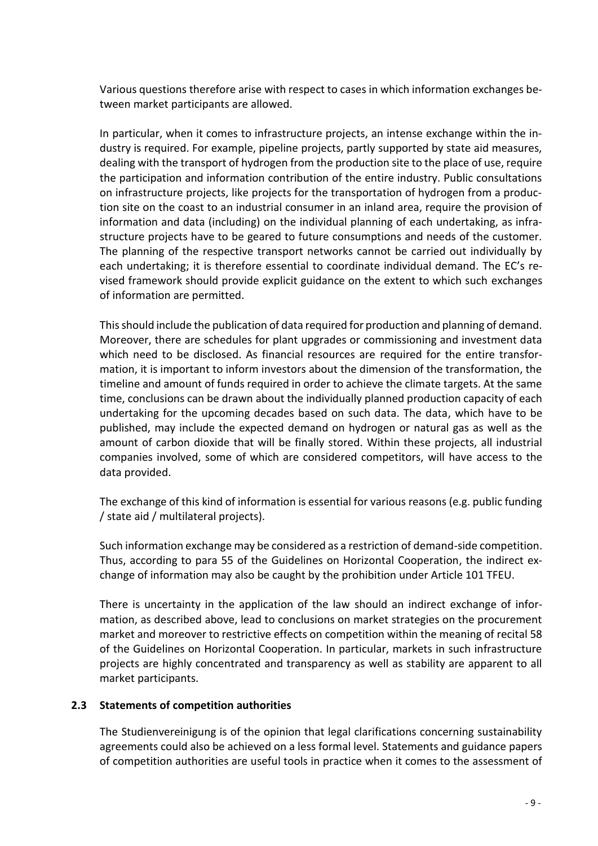Various questions therefore arise with respect to cases in which information exchanges between market participants are allowed.

In particular, when it comes to infrastructure projects, an intense exchange within the industry is required. For example, pipeline projects, partly supported by state aid measures, dealing with the transport of hydrogen from the production site to the place of use, require the participation and information contribution of the entire industry. Public consultations on infrastructure projects, like projects for the transportation of hydrogen from a production site on the coast to an industrial consumer in an inland area, require the provision of information and data (including) on the individual planning of each undertaking, as infrastructure projects have to be geared to future consumptions and needs of the customer. The planning of the respective transport networks cannot be carried out individually by each undertaking; it is therefore essential to coordinate individual demand. The EC's revised framework should provide explicit guidance on the extent to which such exchanges of information are permitted.

This should include the publication of data required for production and planning of demand. Moreover, there are schedules for plant upgrades or commissioning and investment data which need to be disclosed. As financial resources are required for the entire transformation, it is important to inform investors about the dimension of the transformation, the timeline and amount of funds required in order to achieve the climate targets. At the same time, conclusions can be drawn about the individually planned production capacity of each undertaking for the upcoming decades based on such data. The data, which have to be published, may include the expected demand on hydrogen or natural gas as well as the amount of carbon dioxide that will be finally stored. Within these projects, all industrial companies involved, some of which are considered competitors, will have access to the data provided.

The exchange of this kind of information is essential for various reasons (e.g. public funding / state aid / multilateral projects).

Such information exchange may be considered as a restriction of demand-side competition. Thus, according to para 55 of the Guidelines on Horizontal Cooperation, the indirect exchange of information may also be caught by the prohibition under Article 101 TFEU.

There is uncertainty in the application of the law should an indirect exchange of information, as described above, lead to conclusions on market strategies on the procurement market and moreover to restrictive effects on competition within the meaning of recital 58 of the Guidelines on Horizontal Cooperation. In particular, markets in such infrastructure projects are highly concentrated and transparency as well as stability are apparent to all market participants.

## **2.3 Statements of competition authorities**

The Studienvereinigung is of the opinion that legal clarifications concerning sustainability agreements could also be achieved on a less formal level. Statements and guidance papers of competition authorities are useful tools in practice when it comes to the assessment of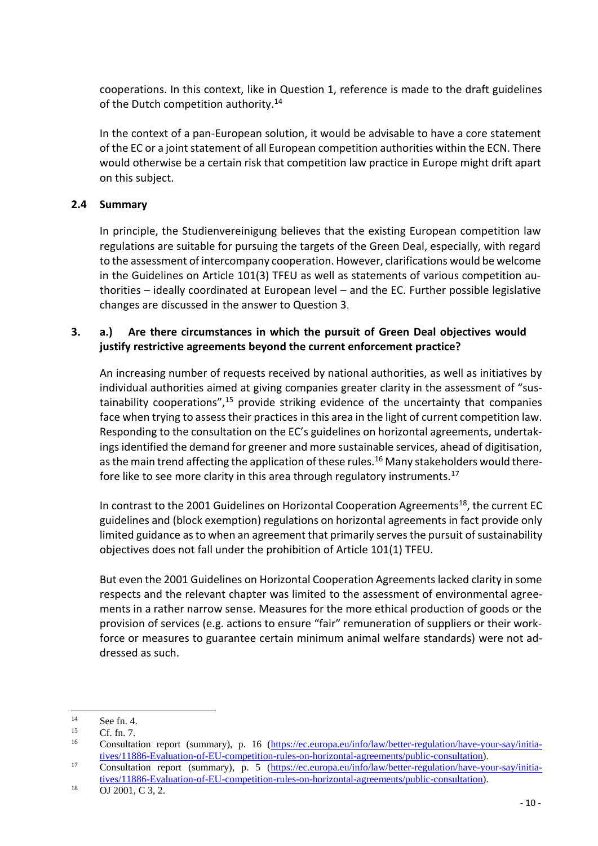cooperations. In this context, like in Question 1, reference is made to the draft guidelines of the Dutch competition authority.<sup>14</sup>

In the context of a pan-European solution, it would be advisable to have a core statement of the EC or a joint statement of all European competition authorities within the ECN. There would otherwise be a certain risk that competition law practice in Europe might drift apart on this subject.

# **2.4 Summary**

In principle, the Studienvereinigung believes that the existing European competition law regulations are suitable for pursuing the targets of the Green Deal, especially, with regard to the assessment of intercompany cooperation. However, clarifications would be welcome in the Guidelines on Article 101(3) TFEU as well as statements of various competition authorities – ideally coordinated at European level – and the EC. Further possible legislative changes are discussed in the answer to Question 3.

# **3. a.) Are there circumstances in which the pursuit of Green Deal objectives would justify restrictive agreements beyond the current enforcement practice?**

An increasing number of requests received by national authorities, as well as initiatives by individual authorities aimed at giving companies greater clarity in the assessment of "sustainability cooperations", $15$  provide striking evidence of the uncertainty that companies face when trying to assess their practices in this area in the light of current competition law. Responding to the consultation on the EC's guidelines on horizontal agreements, undertakings identified the demand for greener and more sustainable services, ahead of digitisation, as the main trend affecting the application of these rules.<sup>16</sup> Many stakeholders would therefore like to see more clarity in this area through regulatory instruments.<sup>17</sup>

In contrast to the 2001 Guidelines on Horizontal Cooperation Agreements<sup>18</sup>, the current EC guidelines and (block exemption) regulations on horizontal agreements in fact provide only limited guidance as to when an agreement that primarily serves the pursuit of sustainability objectives does not fall under the prohibition of Article 101(1) TFEU.

But even the 2001 Guidelines on Horizontal Cooperation Agreements lacked clarity in some respects and the relevant chapter was limited to the assessment of environmental agreements in a rather narrow sense. Measures for the more ethical production of goods or the provision of services (e.g. actions to ensure "fair" remuneration of suppliers or their workforce or measures to guarantee certain minimum animal welfare standards) were not addressed as such.

 $14$  $\frac{14}{15}$  See fn. 4.

 $\begin{array}{cc}\n 15 \\
\hline\n 16\n \end{array}$  Cf. fn. 7.

<sup>16</sup> Consultation report (summary), p. 16 [\(https://ec.europa.eu/info/law/better-regulation/have-your-say/initia](https://ec.europa.eu/info/law/better-regulation/have-your-say/initiatives/11886-Evaluation-of-EU-competition-rules-on-horizontal-agreements/public-consultation)[tives/11886-Evaluation-of-EU-competition-rules-on-horizontal-agreements/public-consultation\)](https://ec.europa.eu/info/law/better-regulation/have-your-say/initiatives/11886-Evaluation-of-EU-competition-rules-on-horizontal-agreements/public-consultation).

<sup>17</sup> Consultation report (summary), p. 5 [\(https://ec.europa.eu/info/law/better-regulation/have-your-say/initia](https://ec.europa.eu/info/law/better-regulation/have-your-say/initiatives/11886-Evaluation-of-EU-competition-rules-on-horizontal-agreements/public-consultation)[tives/11886-Evaluation-of-EU-competition-rules-on-horizontal-agreements/public-consultation\)](https://ec.europa.eu/info/law/better-regulation/have-your-say/initiatives/11886-Evaluation-of-EU-competition-rules-on-horizontal-agreements/public-consultation).

 $18$  OJ 2001, C 3, 2.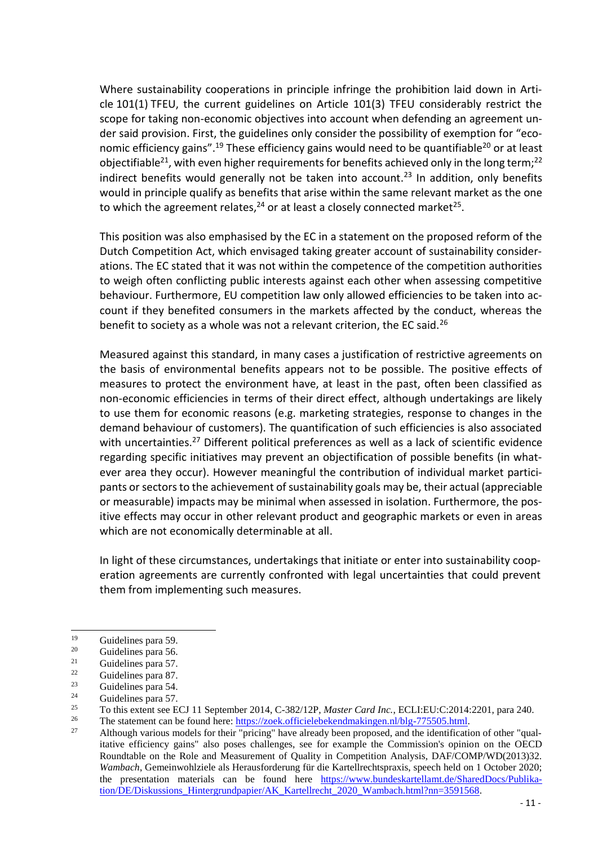Where sustainability cooperations in principle infringe the prohibition laid down in Article 101(1) TFEU, the current guidelines on Article 101(3) TFEU considerably restrict the scope for taking non-economic objectives into account when defending an agreement under said provision. First, the guidelines only consider the possibility of exemption for "economic efficiency gains".<sup>19</sup> These efficiency gains would need to be quantifiable<sup>20</sup> or at least objectifiable<sup>21</sup>, with even higher requirements for benefits achieved only in the long term;<sup>22</sup> indirect benefits would generally not be taken into account.<sup>23</sup> In addition, only benefits would in principle qualify as benefits that arise within the same relevant market as the one to which the agreement relates,<sup>24</sup> or at least a closely connected market<sup>25</sup>.

This position was also emphasised by the EC in a statement on the proposed reform of the Dutch Competition Act, which envisaged taking greater account of sustainability considerations. The EC stated that it was not within the competence of the competition authorities to weigh often conflicting public interests against each other when assessing competitive behaviour. Furthermore, EU competition law only allowed efficiencies to be taken into account if they benefited consumers in the markets affected by the conduct, whereas the benefit to society as a whole was not a relevant criterion, the EC said.<sup>26</sup>

Measured against this standard, in many cases a justification of restrictive agreements on the basis of environmental benefits appears not to be possible. The positive effects of measures to protect the environment have, at least in the past, often been classified as non-economic efficiencies in terms of their direct effect, although undertakings are likely to use them for economic reasons (e.g. marketing strategies, response to changes in the demand behaviour of customers). The quantification of such efficiencies is also associated with uncertainties.<sup>27</sup> Different political preferences as well as a lack of scientific evidence regarding specific initiatives may prevent an objectification of possible benefits (in whatever area they occur). However meaningful the contribution of individual market participants or sectors to the achievement of sustainability goals may be, their actual (appreciable or measurable) impacts may be minimal when assessed in isolation. Furthermore, the positive effects may occur in other relevant product and geographic markets or even in areas which are not economically determinable at all.

In light of these circumstances, undertakings that initiate or enter into sustainability cooperation agreements are currently confronted with legal uncertainties that could prevent them from implementing such measures.

<sup>19</sup>  $19$  Guidelines para 59.

Guidelines para 56.

<sup>21</sup> Guidelines para 57.

 $\frac{22}{23}$  Guidelines para 87.

 $23 \t\text{Guidelines para } 54.$ <br>  $24 \t\text{Guidelines para } 57.$ 

<sup>&</sup>lt;sup>24</sup> Guidelines para 57.<br><sup>25</sup> To this extent see E

<sup>&</sup>lt;sup>25</sup> To this extent see ECJ 11 September 2014, C-382/12P, *Master Card Inc.*, ECLI:EU:C:2014:2201, para 240.<br><sup>26</sup> The statement can be found bere https://gook.officialabakandmakingsp.pl/blg.775505.html

<sup>&</sup>lt;sup>26</sup> The statement can be found here:  $\frac{https://zoek.officielebekendmakingen.nl/blg-775505.html}{\text{Atth安.}$ 

Although various models for their "pricing" have already been proposed, and the identification of other "qualitative efficiency gains" also poses challenges, see for example the Commission's opinion on the OECD Roundtable on the Role and Measurement of Quality in Competition Analysis, DAF/COMP/WD(2013)32. *Wambach*, Gemeinwohlziele als Herausforderung für die Kartellrechtspraxis, speech held on 1 October 2020; the presentation materials can be found here [https://www.bundeskartellamt.de/SharedDocs/Publika](https://www.bundeskartellamt.de/SharedDocs/Publikation/DE/Diskussions_Hintergrundpapier/AK_Kartellrecht_2020_Wambach.html?nn=3591568)[tion/DE/Diskussions\\_Hintergrundpapier/AK\\_Kartellrecht\\_2020\\_Wambach.html?nn=3591568.](https://www.bundeskartellamt.de/SharedDocs/Publikation/DE/Diskussions_Hintergrundpapier/AK_Kartellrecht_2020_Wambach.html?nn=3591568)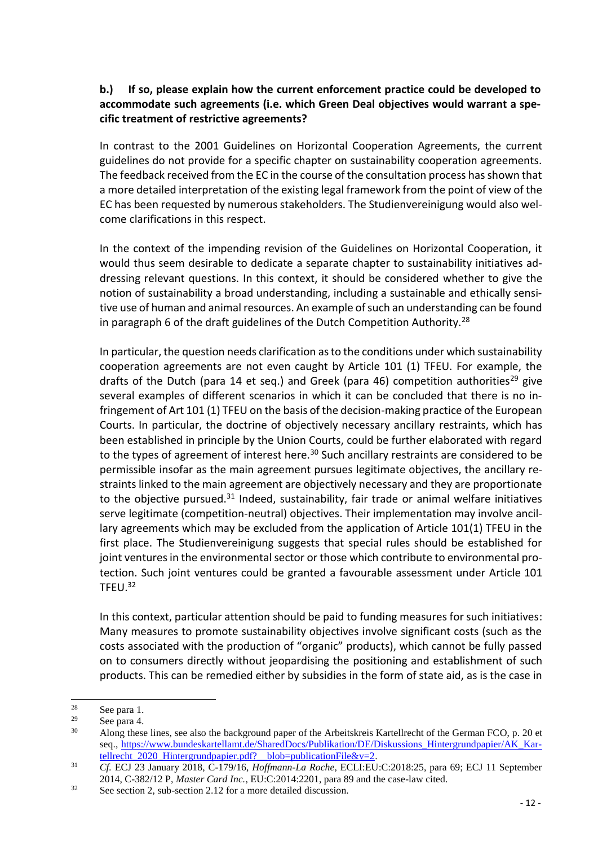# **b.) If so, please explain how the current enforcement practice could be developed to accommodate such agreements (i.e. which Green Deal objectives would warrant a specific treatment of restrictive agreements?**

In contrast to the 2001 Guidelines on Horizontal Cooperation Agreements, the current guidelines do not provide for a specific chapter on sustainability cooperation agreements. The feedback received from the EC in the course of the consultation process has shown that a more detailed interpretation of the existing legal framework from the point of view of the EC has been requested by numerous stakeholders. The Studienvereinigung would also welcome clarifications in this respect.

In the context of the impending revision of the Guidelines on Horizontal Cooperation, it would thus seem desirable to dedicate a separate chapter to sustainability initiatives addressing relevant questions. In this context, it should be considered whether to give the notion of sustainability a broad understanding, including a sustainable and ethically sensitive use of human and animal resources. An example of such an understanding can be found in paragraph 6 of the draft guidelines of the Dutch Competition Authority.<sup>28</sup>

In particular, the question needs clarification as to the conditions under which sustainability cooperation agreements are not even caught by Article 101 (1) TFEU. For example, the drafts of the Dutch (para 14 et seq.) and Greek (para 46) competition authorities<sup>29</sup> give several examples of different scenarios in which it can be concluded that there is no infringement of Art 101 (1) TFEU on the basis of the decision-making practice of the European Courts. In particular, the doctrine of objectively necessary ancillary restraints, which has been established in principle by the Union Courts, could be further elaborated with regard to the types of agreement of interest here.<sup>30</sup> Such ancillary restraints are considered to be permissible insofar as the main agreement pursues legitimate objectives, the ancillary restraints linked to the main agreement are objectively necessary and they are proportionate to the objective pursued.<sup>31</sup> Indeed, sustainability, fair trade or animal welfare initiatives serve legitimate (competition-neutral) objectives. Their implementation may involve ancillary agreements which may be excluded from the application of Article 101(1) TFEU in the first place. The Studienvereinigung suggests that special rules should be established for joint ventures in the environmental sector or those which contribute to environmental protection. Such joint ventures could be granted a favourable assessment under Article 101 TFEU.<sup>32</sup>

In this context, particular attention should be paid to funding measures for such initiatives: Many measures to promote sustainability objectives involve significant costs (such as the costs associated with the production of "organic" products), which cannot be fully passed on to consumers directly without jeopardising the positioning and establishment of such products. This can be remedied either by subsidies in the form of state aid, as is the case in

<sup>28</sup>  $\frac{28}{29}$  See para 1.

 $\frac{29}{30}$  See para 4.

<sup>30</sup> Along these lines, see also the background paper of the Arbeitskreis Kartellrecht of the German FCO, p. 20 et seq., [https://www.bundeskartellamt.de/SharedDocs/Publikation/DE/Diskussions\\_Hintergrundpapier/AK\\_Kar](https://www.bundeskartellamt.de/SharedDocs/Publikation/DE/Diskussions_Hintergrundpapier/AK_Kartellrecht_2020_Hintergrundpapier.pdf?__blob=publicationFile&v=2)[tellrecht\\_2020\\_Hintergrundpapier.pdf?\\_\\_blob=publicationFile&v=2.](https://www.bundeskartellamt.de/SharedDocs/Publikation/DE/Diskussions_Hintergrundpapier/AK_Kartellrecht_2020_Hintergrundpapier.pdf?__blob=publicationFile&v=2)

<sup>31</sup> *Cf.* ECJ 23 January 2018, C-179/16, *Hoffmann-La Roche*, ECLI:EU:C:2018:25, para 69; ECJ 11 September 2014, C-382/12 P, *Master Card Inc.*, EU:C:2014:2201, para 89 and the case-law cited.

<sup>32</sup> See section 2, sub-section 2.12 for a more detailed discussion.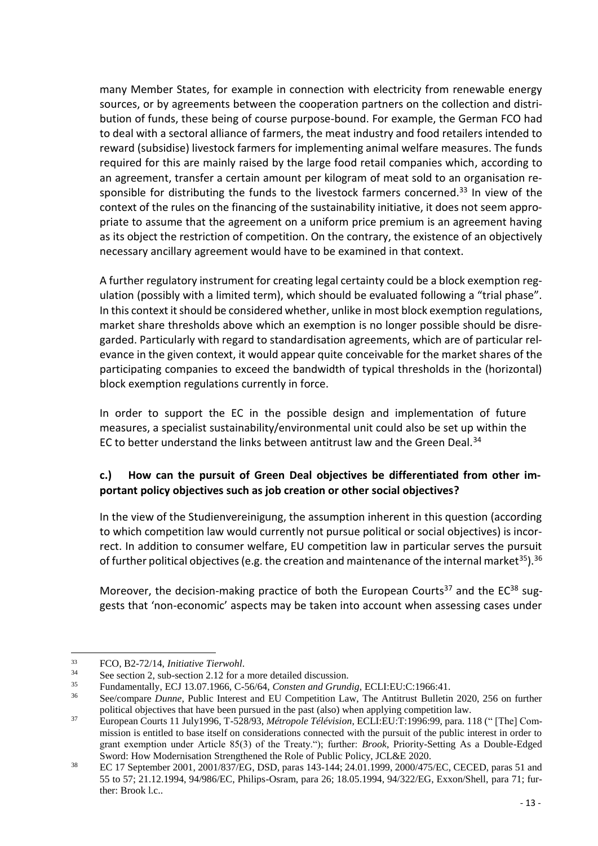many Member States, for example in connection with electricity from renewable energy sources, or by agreements between the cooperation partners on the collection and distribution of funds, these being of course purpose-bound. For example, the German FCO had to deal with a sectoral alliance of farmers, the meat industry and food retailers intended to reward (subsidise) livestock farmers for implementing animal welfare measures. The funds required for this are mainly raised by the large food retail companies which, according to an agreement, transfer a certain amount per kilogram of meat sold to an organisation responsible for distributing the funds to the livestock farmers concerned.<sup>33</sup> In view of the context of the rules on the financing of the sustainability initiative, it does not seem appropriate to assume that the agreement on a uniform price premium is an agreement having as its object the restriction of competition. On the contrary, the existence of an objectively necessary ancillary agreement would have to be examined in that context.

A further regulatory instrument for creating legal certainty could be a block exemption regulation (possibly with a limited term), which should be evaluated following a "trial phase". In this context it should be considered whether, unlike in most block exemption regulations, market share thresholds above which an exemption is no longer possible should be disregarded. Particularly with regard to standardisation agreements, which are of particular relevance in the given context, it would appear quite conceivable for the market shares of the participating companies to exceed the bandwidth of typical thresholds in the (horizontal) block exemption regulations currently in force.

In order to support the EC in the possible design and implementation of future measures, a specialist sustainability/environmental unit could also be set up within the EC to better understand the links between antitrust law and the Green Deal.<sup>34</sup>

# **c.) How can the pursuit of Green Deal objectives be differentiated from other important policy objectives such as job creation or other social objectives?**

In the view of the Studienvereinigung, the assumption inherent in this question (according to which competition law would currently not pursue political or social objectives) is incorrect. In addition to consumer welfare, EU competition law in particular serves the pursuit of further political objectives (e.g. the creation and maintenance of the internal market<sup>35</sup>).<sup>36</sup>

Moreover, the decision-making practice of both the European Courts<sup>37</sup> and the EC $^{38}$  suggests that 'non-economic' aspects may be taken into account when assessing cases under

 $\overline{a}$ <sup>33</sup> FCO, B2-72/14, *Initiative Tierwohl*.

<sup>&</sup>lt;sup>34</sup> See section 2, sub-section 2.12 for a more detailed discussion.

<sup>35</sup> Fundamentally, ECJ 13.07.1966, C-56/64, *Consten and Grundig*, ECLI:EU:C:1966:41.

<sup>36</sup> See/compare *Dunne*, Public Interest and EU Competition Law, The Antitrust Bulletin 2020, 256 on further political objectives that have been pursued in the past (also) when applying competition law.

<sup>37</sup> European Courts 11 July1996, T-528/93, *Métropole Télévision*, ECLI:EU:T:1996:99, para. 118 (" [The] Commission is entitled to base itself on considerations connected with the pursuit of the public interest in order to grant exemption under Article 85(3) of the Treaty."); further: *Brook*, Priority-Setting As a Double-Edged Sword: How Modernisation Strengthened the Role of Public Policy, JCL&E 2020.

<sup>&</sup>lt;sup>38</sup> EC 17 September 2001, 2001/837/EG, DSD, paras 143-144; 24.01.1999, 2000/475/EC, CECED, paras 51 and 55 to 57; 21.12.1994, 94/986/EC, Philips-Osram, para 26; 18.05.1994, 94/322/EG, Exxon/Shell, para 71; further: Brook l.c..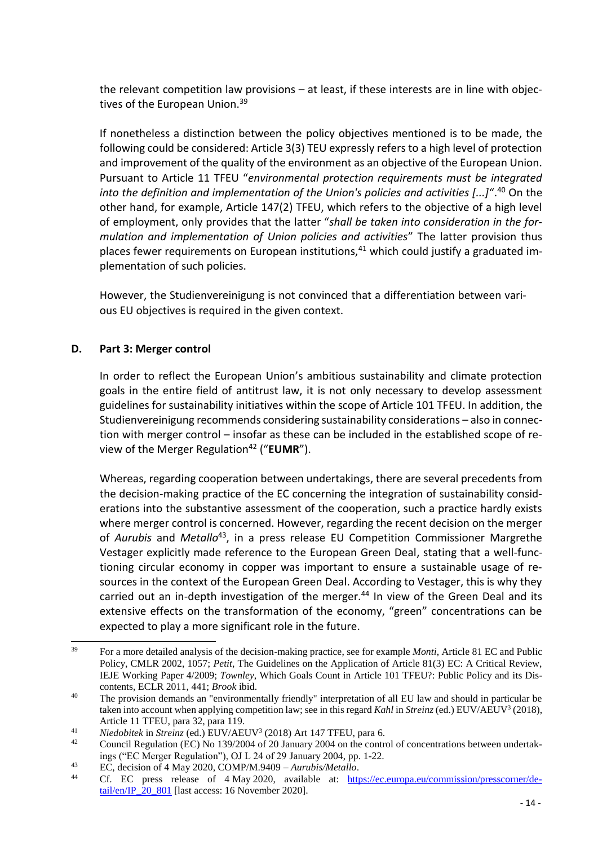the relevant competition law provisions – at least, if these interests are in line with objectives of the European Union.<sup>39</sup>

If nonetheless a distinction between the policy objectives mentioned is to be made, the following could be considered: Article 3(3) TEU expressly refers to a high level of protection and improvement of the quality of the environment as an objective of the European Union. Pursuant to Article 11 TFEU "*environmental protection requirements must be integrated into the definition and implementation of the Union's policies and activities [...]*".<sup>40</sup> On the other hand, for example, Article 147(2) TFEU, which refers to the objective of a high level of employment, only provides that the latter "*shall be taken into consideration in the formulation and implementation of Union policies and activities*" The latter provision thus places fewer requirements on European institutions, $41$  which could justify a graduated implementation of such policies.

However, the Studienvereinigung is not convinced that a differentiation between various EU objectives is required in the given context.

#### **D. Part 3: Merger control**

In order to reflect the European Union's ambitious sustainability and climate protection goals in the entire field of antitrust law, it is not only necessary to develop assessment guidelines for sustainability initiatives within the scope of Article 101 TFEU. In addition, the Studienvereinigung recommends considering sustainability considerations – also in connection with merger control – insofar as these can be included in the established scope of review of the Merger Regulation<sup>42</sup> ("**EUMR**").

Whereas, regarding cooperation between undertakings, there are several precedents from the decision-making practice of the EC concerning the integration of sustainability considerations into the substantive assessment of the cooperation, such a practice hardly exists where merger control is concerned. However, regarding the recent decision on the merger of *Aurubis* and *Metallo*<sup>43</sup> , in a press release EU Competition Commissioner Margrethe Vestager explicitly made reference to the European Green Deal, stating that a well-functioning circular economy in copper was important to ensure a sustainable usage of resources in the context of the European Green Deal. According to Vestager, this is why they carried out an in-depth investigation of the merger.<sup>44</sup> In view of the Green Deal and its extensive effects on the transformation of the economy, "green" concentrations can be expected to play a more significant role in the future.

 $30^{\circ}$ <sup>39</sup> For a more detailed analysis of the decision-making practice, see for example *Monti*, Article 81 EC and Public Policy, CMLR 2002, 1057; *Petit*, The Guidelines on the Application of Article 81(3) EC: A Critical Review, IEJE Working Paper 4/2009; *Townley*, Which Goals Count in Article 101 TFEU?: Public Policy and its Discontents, ECLR 2011, 441; *Brook* ibid.

<sup>&</sup>lt;sup>40</sup> The provision demands an "environmentally friendly" interpretation of all EU law and should in particular be taken into account when applying competition law; see in this regard *Kahl* in *Streinz* (ed.) EUV/AEUV<sup>3</sup> (2018), Article 11 TFEU, para 32, para 119.

<sup>41</sup> *Niedobitek* in *Streinz* (ed.) EUV/AEUV<sup>3</sup> (2018) Art 147 TFEU, para 6.

<sup>&</sup>lt;sup>42</sup> Council Regulation (EC) No 139/2004 of 20 January 2004 on the control of concentrations between undertakings ("EC Merger Regulation"), OJ L 24 of 29 January 2004, pp. 1-22.

<sup>43</sup> EC, decision of 4 May 2020, COMP/M.9409 – *Aurubis/Metallo*.

Cf. EC press release of 4 May 2020, available at: [https://ec.europa.eu/commission/presscorner/de](https://ec.europa.eu/commission/presscorner/detail/en/IP_20_801)tail/en/ $\overline{IP}$  20 801 [last access: 16 November 2020].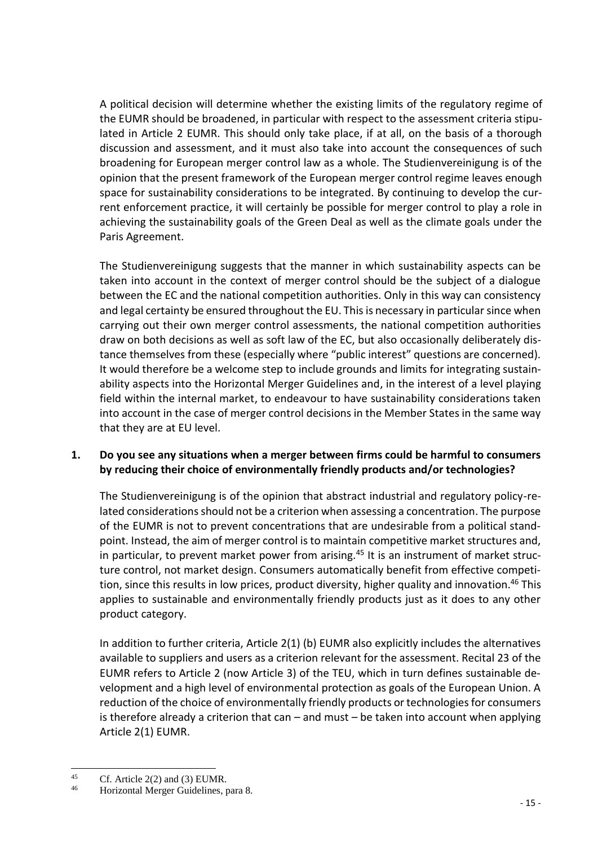A political decision will determine whether the existing limits of the regulatory regime of the EUMR should be broadened, in particular with respect to the assessment criteria stipulated in Article 2 EUMR. This should only take place, if at all, on the basis of a thorough discussion and assessment, and it must also take into account the consequences of such broadening for European merger control law as a whole. The Studienvereinigung is of the opinion that the present framework of the European merger control regime leaves enough space for sustainability considerations to be integrated. By continuing to develop the current enforcement practice, it will certainly be possible for merger control to play a role in achieving the sustainability goals of the Green Deal as well as the climate goals under the Paris Agreement.

The Studienvereinigung suggests that the manner in which sustainability aspects can be taken into account in the context of merger control should be the subject of a dialogue between the EC and the national competition authorities. Only in this way can consistency and legal certainty be ensured throughout the EU. This is necessary in particular since when carrying out their own merger control assessments, the national competition authorities draw on both decisions as well as soft law of the EC, but also occasionally deliberately distance themselves from these (especially where "public interest" questions are concerned). It would therefore be a welcome step to include grounds and limits for integrating sustainability aspects into the Horizontal Merger Guidelines and, in the interest of a level playing field within the internal market, to endeavour to have sustainability considerations taken into account in the case of merger control decisions in the Member States in the same way that they are at EU level.

## **1. Do you see any situations when a merger between firms could be harmful to consumers by reducing their choice of environmentally friendly products and/or technologies?**

The Studienvereinigung is of the opinion that abstract industrial and regulatory policy-related considerations should not be a criterion when assessing a concentration. The purpose of the EUMR is not to prevent concentrations that are undesirable from a political standpoint. Instead, the aim of merger control is to maintain competitive market structures and, in particular, to prevent market power from arising.<sup>45</sup> It is an instrument of market structure control, not market design. Consumers automatically benefit from effective competition, since this results in low prices, product diversity, higher quality and innovation.<sup>46</sup> This applies to sustainable and environmentally friendly products just as it does to any other product category.

In addition to further criteria, Article 2(1) (b) EUMR also explicitly includes the alternatives available to suppliers and users as a criterion relevant for the assessment. Recital 23 of the EUMR refers to Article 2 (now Article 3) of the TEU, which in turn defines sustainable development and a high level of environmental protection as goals of the European Union. A reduction of the choice of environmentally friendly products or technologies for consumers is therefore already a criterion that can  $-$  and must  $-$  be taken into account when applying Article 2(1) EUMR.

<sup>45</sup> <sup>45</sup> Cf. Article 2(2) and (3) EUMR.<br> **46** Horizontal Margar Guidalines

<sup>46</sup> Horizontal Merger Guidelines, para 8.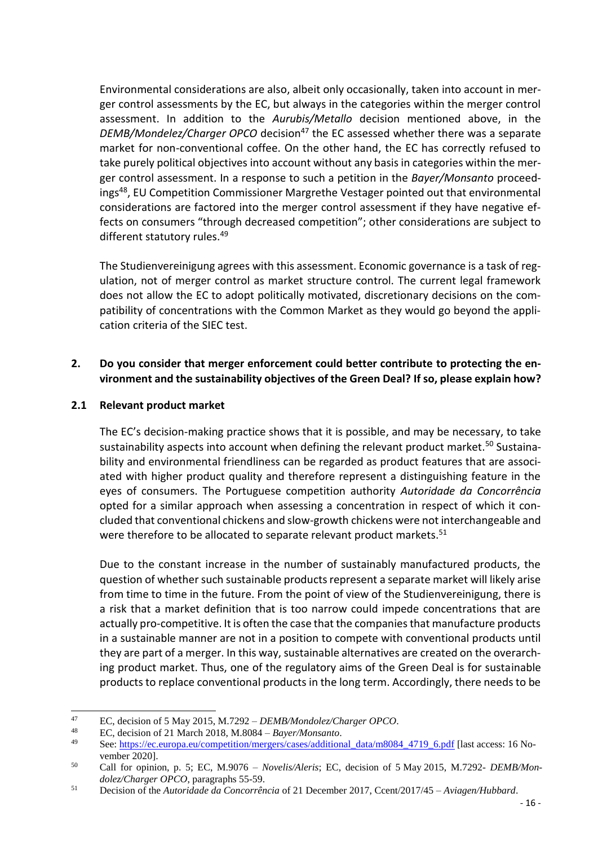Environmental considerations are also, albeit only occasionally, taken into account in merger control assessments by the EC, but always in the categories within the merger control assessment. In addition to the *Aurubis/Metallo* decision mentioned above, in the *DEMB/Mondelez/Charger OPCO* decision<sup>47</sup> the EC assessed whether there was a separate market for non-conventional coffee. On the other hand, the EC has correctly refused to take purely political objectives into account without any basis in categories within the merger control assessment. In a response to such a petition in the *Bayer/Monsanto* proceedings<sup>48</sup>, EU Competition Commissioner Margrethe Vestager pointed out that environmental considerations are factored into the merger control assessment if they have negative effects on consumers "through decreased competition"; other considerations are subject to different statutory rules.<sup>49</sup>

The Studienvereinigung agrees with this assessment. Economic governance is a task of regulation, not of merger control as market structure control. The current legal framework does not allow the EC to adopt politically motivated, discretionary decisions on the compatibility of concentrations with the Common Market as they would go beyond the application criteria of the SIEC test.

# **2. Do you consider that merger enforcement could better contribute to protecting the environment and the sustainability objectives of the Green Deal? If so, please explain how?**

#### **2.1 Relevant product market**

The EC's decision-making practice shows that it is possible, and may be necessary, to take sustainability aspects into account when defining the relevant product market.<sup>50</sup> Sustainability and environmental friendliness can be regarded as product features that are associated with higher product quality and therefore represent a distinguishing feature in the eyes of consumers. The Portuguese competition authority *Autoridade da Concorrência* opted for a similar approach when assessing a concentration in respect of which it concluded that conventional chickens and slow-growth chickens were not interchangeable and were therefore to be allocated to separate relevant product markets.<sup>51</sup>

Due to the constant increase in the number of sustainably manufactured products, the question of whether such sustainable products represent a separate market will likely arise from time to time in the future. From the point of view of the Studienvereinigung, there is a risk that a market definition that is too narrow could impede concentrations that are actually pro-competitive. It is often the case that the companies that manufacture products in a sustainable manner are not in a position to compete with conventional products until they are part of a merger. In this way, sustainable alternatives are created on the overarching product market. Thus, one of the regulatory aims of the Green Deal is for sustainable products to replace conventional products in the long term. Accordingly, there needs to be

<sup>47</sup> <sup>47</sup> EC, decision of 5 May 2015, M.7292 – *DEMB/Mondolez/Charger OPCO*.

<sup>48</sup> EC, decision of 21 March 2018, M.8084 – *Bayer/Monsanto*.

See: [https://ec.europa.eu/competition/mergers/cases/additional\\_data/m8084\\_4719\\_6.pdf](https://ec.europa.eu/competition/mergers/cases/additional_data/m8084_4719_6.pdf) [last access: 16 November 2020].

<sup>50</sup> Call for opinion, p. 5; EC, M.9076 – *Novelis/Aleris*; EC, decision of 5 May 2015, M.7292- *DEMB/Mondolez/Charger OPCO*, paragraphs 55-59.

<sup>51</sup> Decision of the *Autoridade da Concorrência* of 21 December 2017, Ccent/2017/45 – *Aviagen/Hubbard*.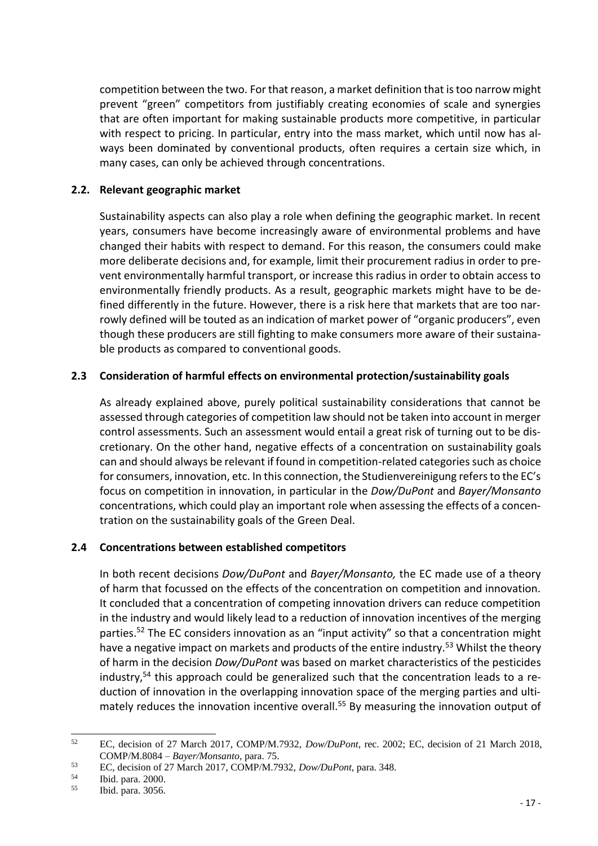competition between the two. For that reason, a market definition that is too narrow might prevent "green" competitors from justifiably creating economies of scale and synergies that are often important for making sustainable products more competitive, in particular with respect to pricing. In particular, entry into the mass market, which until now has always been dominated by conventional products, often requires a certain size which, in many cases, can only be achieved through concentrations.

#### **2.2. Relevant geographic market**

Sustainability aspects can also play a role when defining the geographic market. In recent years, consumers have become increasingly aware of environmental problems and have changed their habits with respect to demand. For this reason, the consumers could make more deliberate decisions and, for example, limit their procurement radius in order to prevent environmentally harmful transport, or increase this radius in order to obtain access to environmentally friendly products. As a result, geographic markets might have to be defined differently in the future. However, there is a risk here that markets that are too narrowly defined will be touted as an indication of market power of "organic producers", even though these producers are still fighting to make consumers more aware of their sustainable products as compared to conventional goods.

#### **2.3 Consideration of harmful effects on environmental protection/sustainability goals**

As already explained above, purely political sustainability considerations that cannot be assessed through categories of competition law should not be taken into account in merger control assessments. Such an assessment would entail a great risk of turning out to be discretionary. On the other hand, negative effects of a concentration on sustainability goals can and should always be relevant if found in competition-related categories such as choice for consumers, innovation, etc. In this connection, the Studienvereinigung refers to the EC's focus on competition in innovation, in particular in the *Dow/DuPont* and *Bayer/Monsanto* concentrations, which could play an important role when assessing the effects of a concentration on the sustainability goals of the Green Deal.

## **2.4 Concentrations between established competitors**

In both recent decisions *Dow/DuPont* and *Bayer/Monsanto,* the EC made use of a theory of harm that focussed on the effects of the concentration on competition and innovation. It concluded that a concentration of competing innovation drivers can reduce competition in the industry and would likely lead to a reduction of innovation incentives of the merging parties.<sup>52</sup> The EC considers innovation as an "input activity" so that a concentration might have a negative impact on markets and products of the entire industry.<sup>53</sup> Whilst the theory of harm in the decision *Dow/DuPont* was based on market characteristics of the pesticides industry,<sup>54</sup> this approach could be generalized such that the concentration leads to a reduction of innovation in the overlapping innovation space of the merging parties and ultimately reduces the innovation incentive overall.<sup>55</sup> By measuring the innovation output of

 $52$ <sup>52</sup> EC, decision of 27 March 2017, COMP/M.7932, *Dow/DuPont*, rec. 2002; EC, decision of 21 March 2018, COMP/M.8084 – *Bayer/Monsanto*, para. 75.

<sup>53</sup> EC, decision of 27 March 2017, COMP/M.7932, *Dow/DuPont*, para. 348.

 $\frac{54}{55}$  Ibid. para. 2000.

Ibid. para. 3056.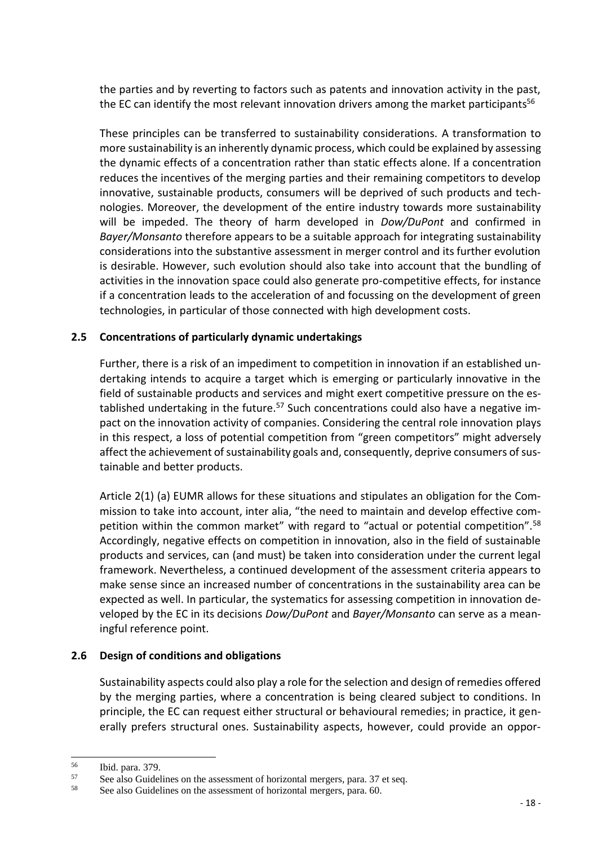the parties and by reverting to factors such as patents and innovation activity in the past, the EC can identify the most relevant innovation drivers among the market participants<sup>56</sup>

These principles can be transferred to sustainability considerations. A transformation to more sustainability is an inherently dynamic process, which could be explained by assessing the dynamic effects of a concentration rather than static effects alone. If a concentration reduces the incentives of the merging parties and their remaining competitors to develop innovative, sustainable products, consumers will be deprived of such products and technologies. Moreover, the development of the entire industry towards more sustainability will be impeded. The theory of harm developed in *Dow/DuPont* and confirmed in *Bayer/Monsanto* therefore appears to be a suitable approach for integrating sustainability considerations into the substantive assessment in merger control and its further evolution is desirable. However, such evolution should also take into account that the bundling of activities in the innovation space could also generate pro-competitive effects, for instance if a concentration leads to the acceleration of and focussing on the development of green technologies, in particular of those connected with high development costs.

## **2.5 Concentrations of particularly dynamic undertakings**

Further, there is a risk of an impediment to competition in innovation if an established undertaking intends to acquire a target which is emerging or particularly innovative in the field of sustainable products and services and might exert competitive pressure on the established undertaking in the future.<sup>57</sup> Such concentrations could also have a negative impact on the innovation activity of companies. Considering the central role innovation plays in this respect, a loss of potential competition from "green competitors" might adversely affect the achievement of sustainability goals and, consequently, deprive consumers of sustainable and better products.

Article 2(1) (a) EUMR allows for these situations and stipulates an obligation for the Commission to take into account, inter alia, "the need to maintain and develop effective competition within the common market" with regard to "actual or potential competition".<sup>58</sup> Accordingly, negative effects on competition in innovation, also in the field of sustainable products and services, can (and must) be taken into consideration under the current legal framework. Nevertheless, a continued development of the assessment criteria appears to make sense since an increased number of concentrations in the sustainability area can be expected as well. In particular, the systematics for assessing competition in innovation developed by the EC in its decisions *Dow/DuPont* and *Bayer/Monsanto* can serve as a meaningful reference point.

#### **2.6 Design of conditions and obligations**

Sustainability aspects could also play a role for the selection and design of remedies offered by the merging parties, where a concentration is being cleared subject to conditions. In principle, the EC can request either structural or behavioural remedies; in practice, it generally prefers structural ones. Sustainability aspects, however, could provide an oppor-

<sup>56</sup>  $\frac{56}{57}$  Ibid. para. 379.

 $57$  See also Guidelines on the assessment of horizontal mergers, para. 37 et seq.<br> $58$  See also Guidelines on the assessment of horizontal mergers, para. 60

See also Guidelines on the assessment of horizontal mergers, para. 60.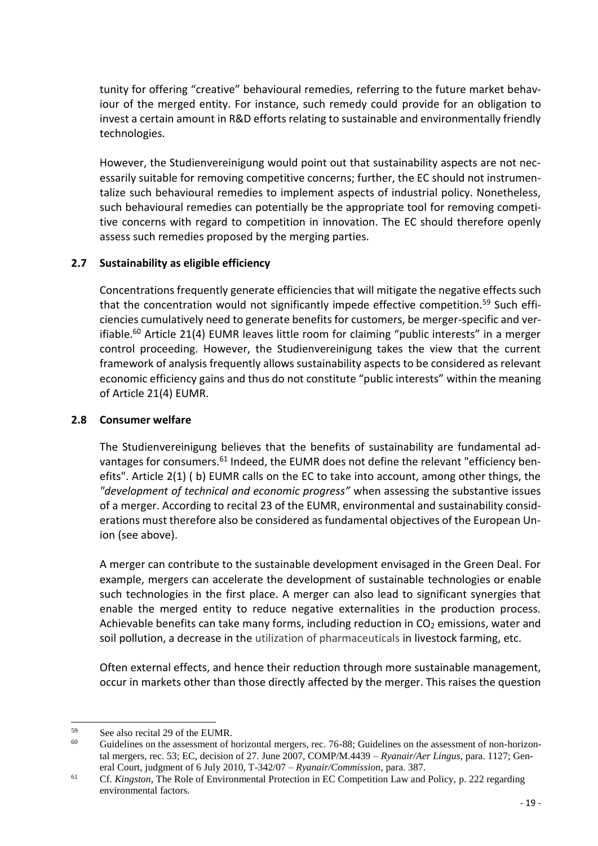tunity for offering "creative" behavioural remedies, referring to the future market behaviour of the merged entity. For instance, such remedy could provide for an obligation to invest a certain amount in R&D efforts relating to sustainable and environmentally friendly technologies.

However, the Studienvereinigung would point out that sustainability aspects are not necessarily suitable for removing competitive concerns; further, the EC should not instrumentalize such behavioural remedies to implement aspects of industrial policy. Nonetheless, such behavioural remedies can potentially be the appropriate tool for removing competitive concerns with regard to competition in innovation. The EC should therefore openly assess such remedies proposed by the merging parties.

# **2.7 Sustainability as eligible efficiency**

Concentrations frequently generate efficiencies that will mitigate the negative effects such that the concentration would not significantly impede effective competition.<sup>59</sup> Such efficiencies cumulatively need to generate benefits for customers, be merger-specific and verifiable.<sup>60</sup> Article 21(4) EUMR leaves little room for claiming "public interests" in a merger control proceeding. However, the Studienvereinigung takes the view that the current framework of analysis frequently allows sustainability aspects to be considered as relevant economic efficiency gains and thus do not constitute "public interests" within the meaning of Article 21(4) EUMR.

## **2.8 Consumer welfare**

The Studienvereinigung believes that the benefits of sustainability are fundamental advantages for consumers.<sup>61</sup> Indeed, the EUMR does not define the relevant "efficiency benefits". Article 2(1) ( b) EUMR calls on the EC to take into account, among other things, the *"development of technical and economic progress"* when assessing the substantive issues of a merger. According to recital 23 of the EUMR, environmental and sustainability considerations must therefore also be considered as fundamental objectives of the European Union (see above).

A merger can contribute to the sustainable development envisaged in the Green Deal. For example, mergers can accelerate the development of sustainable technologies or enable such technologies in the first place. A merger can also lead to significant synergies that enable the merged entity to reduce negative externalities in the production process. Achievable benefits can take many forms, including reduction in  $CO<sub>2</sub>$  emissions, water and soil pollution, a decrease in the utilization of pharmaceuticals in livestock farming, etc.

Often external effects, and hence their reduction through more sustainable management, occur in markets other than those directly affected by the merger. This raises the question

<sup>59</sup>  $59$  See also recital 29 of the EUMR.

Guidelines on the assessment of horizontal mergers, rec. 76-88; Guidelines on the assessment of non-horizontal mergers, rec. 53; EC, decision of 27. June 2007, COMP/M.4439 – *Ryanair/Aer Lingus*, para. 1127; General Court, judgment of 6 July 2010, T-342/07 – *Ryanair/Commission*, para. 387.

<sup>61</sup> Cf. *Kingston*, The Role of Environmental Protection in EC Competition Law and Policy, p. 222 regarding environmental factors.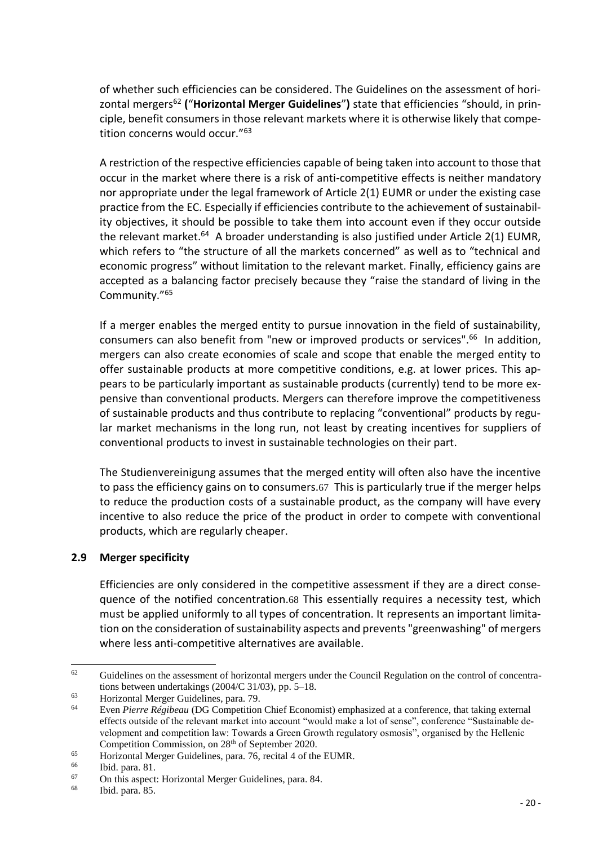of whether such efficiencies can be considered. The Guidelines on the assessment of horizontal mergers<sup>62</sup> **(**"**Horizontal Merger Guidelines**"**)** state that efficiencies "should, in principle, benefit consumers in those relevant markets where it is otherwise likely that competition concerns would occur."<sup>63</sup>

A restriction of the respective efficiencies capable of being taken into account to those that occur in the market where there is a risk of anti-competitive effects is neither mandatory nor appropriate under the legal framework of Article 2(1) EUMR or under the existing case practice from the EC. Especially if efficiencies contribute to the achievement of sustainability objectives, it should be possible to take them into account even if they occur outside the relevant market.<sup>64</sup> A broader understanding is also justified under Article 2(1) EUMR, which refers to "the structure of all the markets concerned" as well as to "technical and economic progress" without limitation to the relevant market. Finally, efficiency gains are accepted as a balancing factor precisely because they "raise the standard of living in the Community."<sup>65</sup>

If a merger enables the merged entity to pursue innovation in the field of sustainability, consumers can also benefit from "new or improved products or services".<sup>66</sup> In addition, mergers can also create economies of scale and scope that enable the merged entity to offer sustainable products at more competitive conditions, e.g. at lower prices. This appears to be particularly important as sustainable products (currently) tend to be more expensive than conventional products. Mergers can therefore improve the competitiveness of sustainable products and thus contribute to replacing "conventional" products by regular market mechanisms in the long run, not least by creating incentives for suppliers of conventional products to invest in sustainable technologies on their part.

The Studienvereinigung assumes that the merged entity will often also have the incentive to pass the efficiency gains on to consumers.67 This is particularly true if the merger helps to reduce the production costs of a sustainable product, as the company will have every incentive to also reduce the price of the product in order to compete with conventional products, which are regularly cheaper.

#### **2.9 Merger specificity**

Efficiencies are only considered in the competitive assessment if they are a direct consequence of the notified concentration.68 This essentially requires a necessity test, which must be applied uniformly to all types of concentration. It represents an important limitation on the consideration of sustainability aspects and prevents "greenwashing" of mergers where less anti-competitive alternatives are available.

 $\overline{a}$ 

<sup>&</sup>lt;sup>62</sup> Guidelines on the assessment of horizontal mergers under the Council Regulation on the control of concentrations between undertakings (2004/C 31/03), pp. 5–18.

 $^{63}$  Horizontal Merger Guidelines, para. 79.<br> $^{64}$  Even Pierre Péciheau (DG Compatition

<sup>64</sup> Even *Pierre Régibeau* (DG Competition Chief Economist) emphasized at a conference, that taking external effects outside of the relevant market into account "would make a lot of sense", conference "Sustainable development and competition law: Towards a Green Growth regulatory osmosis", organised by the Hellenic Competition Commission, on 28<sup>th</sup> of September 2020.

 $^{65}$  Horizontal Merger Guidelines, para. 76, recital 4 of the EUMR.<br> $^{66}$  Hid now 81

 $\begin{array}{cc}\n 66 \\
67\n \end{array}$  Ibid. para. 81.

<sup>&</sup>lt;sup>67</sup> On this aspect: Horizontal Merger Guidelines, para. 84.

Ibid. para. 85.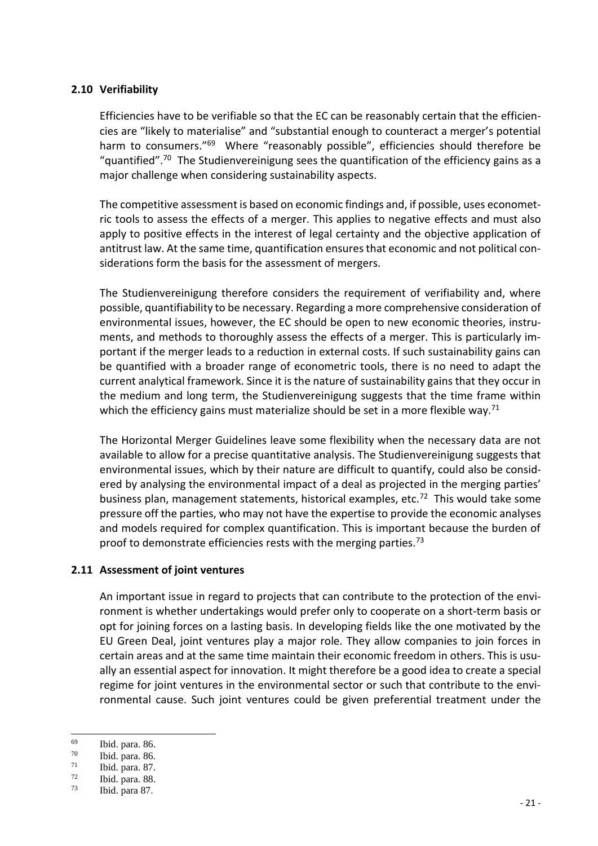#### **2.10 Verifiability**

Efficiencies have to be verifiable so that the EC can be reasonably certain that the efficiencies are "likely to materialise" and "substantial enough to counteract a merger's potential harm to consumers."<sup>69</sup> Where "reasonably possible", efficiencies should therefore be "quantified".<sup>70</sup> The Studienvereinigung sees the quantification of the efficiency gains as a major challenge when considering sustainability aspects.

The competitive assessment is based on economic findings and, if possible, uses econometric tools to assess the effects of a merger. This applies to negative effects and must also apply to positive effects in the interest of legal certainty and the objective application of antitrust law. At the same time, quantification ensures that economic and not political considerations form the basis for the assessment of mergers.

The Studienvereinigung therefore considers the requirement of verifiability and, where possible, quantifiability to be necessary. Regarding a more comprehensive consideration of environmental issues, however, the EC should be open to new economic theories, instruments, and methods to thoroughly assess the effects of a merger. This is particularly important if the merger leads to a reduction in external costs. If such sustainability gains can be quantified with a broader range of econometric tools, there is no need to adapt the current analytical framework. Since it is the nature of sustainability gains that they occur in the medium and long term, the Studienvereinigung suggests that the time frame within which the efficiency gains must materialize should be set in a more flexible way.<sup>71</sup>

The Horizontal Merger Guidelines leave some flexibility when the necessary data are not available to allow for a precise quantitative analysis. The Studienvereinigung suggests that environmental issues, which by their nature are difficult to quantify, could also be considered by analysing the environmental impact of a deal as projected in the merging parties' business plan, management statements, historical examples, etc.<sup>72</sup> This would take some pressure off the parties, who may not have the expertise to provide the economic analyses and models required for complex quantification. This is important because the burden of proof to demonstrate efficiencies rests with the merging parties.<sup>73</sup>

#### **2.11 Assessment of joint ventures**

An important issue in regard to projects that can contribute to the protection of the environment is whether undertakings would prefer only to cooperate on a short-term basis or opt for joining forces on a lasting basis. In developing fields like the one motivated by the EU Green Deal, joint ventures play a major role. They allow companies to join forces in certain areas and at the same time maintain their economic freedom in others. This is usually an essential aspect for innovation. It might therefore be a good idea to create a special regime for joint ventures in the environmental sector or such that contribute to the environmental cause. Such joint ventures could be given preferential treatment under the

<sup>69</sup>  $\frac{69}{70}$  Ibid. para. 86.

 $\frac{70}{71}$  Ibid. para. 86.

 $\frac{71}{72}$  Ibid. para. 87.

 $\frac{72}{73}$  Ibid. para. 88.

Ibid. para 87.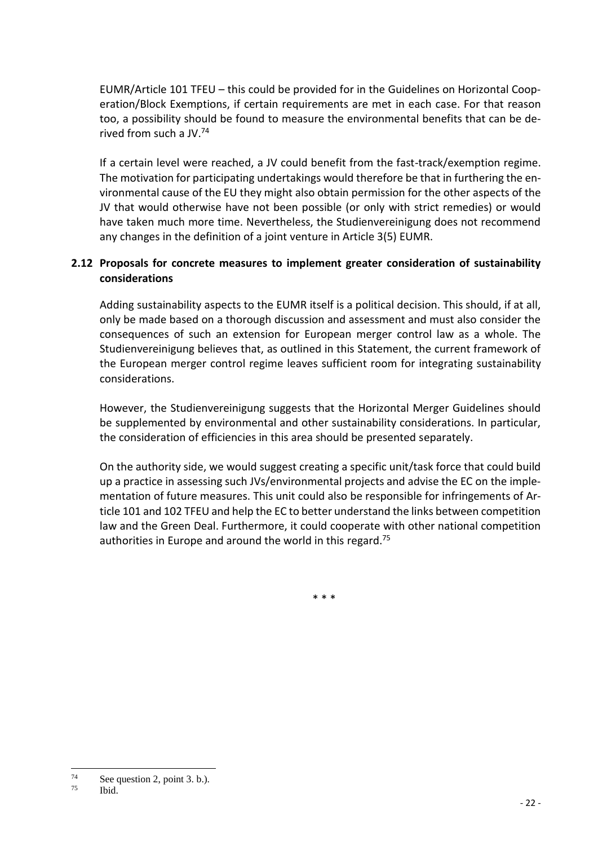EUMR/Article 101 TFEU – this could be provided for in the Guidelines on Horizontal Cooperation/Block Exemptions, if certain requirements are met in each case. For that reason too, a possibility should be found to measure the environmental benefits that can be derived from such a IV $^{74}$ 

If a certain level were reached, a JV could benefit from the fast-track/exemption regime. The motivation for participating undertakings would therefore be that in furthering the environmental cause of the EU they might also obtain permission for the other aspects of the JV that would otherwise have not been possible (or only with strict remedies) or would have taken much more time. Nevertheless, the Studienvereinigung does not recommend any changes in the definition of a joint venture in Article 3(5) EUMR.

## **2.12 Proposals for concrete measures to implement greater consideration of sustainability considerations**

Adding sustainability aspects to the EUMR itself is a political decision. This should, if at all, only be made based on a thorough discussion and assessment and must also consider the consequences of such an extension for European merger control law as a whole. The Studienvereinigung believes that, as outlined in this Statement, the current framework of the European merger control regime leaves sufficient room for integrating sustainability considerations.

However, the Studienvereinigung suggests that the Horizontal Merger Guidelines should be supplemented by environmental and other sustainability considerations. In particular, the consideration of efficiencies in this area should be presented separately.

On the authority side, we would suggest creating a specific unit/task force that could build up a practice in assessing such JVs/environmental projects and advise the EC on the implementation of future measures. This unit could also be responsible for infringements of Article 101 and 102 TFEU and help the EC to better understand the links between competition law and the Green Deal. Furthermore, it could cooperate with other national competition authorities in Europe and around the world in this regard.<sup>75</sup>

\* \* \*

<sup>75</sup> Ibid.

<sup>74</sup>  $^{74}$  See question 2, point 3. b.).